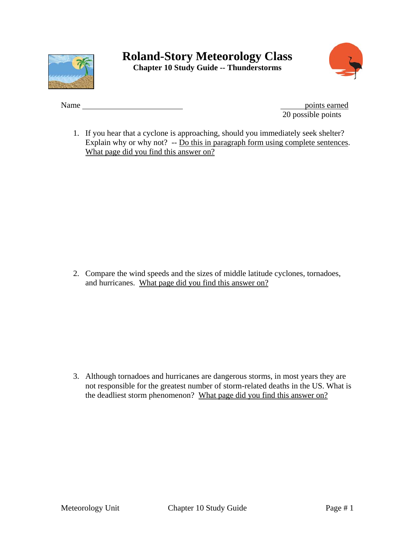



Name points earned 20 possible points

1. If you hear that a cyclone is approaching, should you immediately seek shelter? Explain why or why not? -- Do this in paragraph form using complete sentences. What page did you find this answer on?

2. Compare the wind speeds and the sizes of middle latitude cyclones, tornadoes, and hurricanes. What page did you find this answer on?

3. Although tornadoes and hurricanes are dangerous storms, in most years they are not responsible for the greatest number of storm-related deaths in the US. What is the deadliest storm phenomenon? What page did you find this answer on?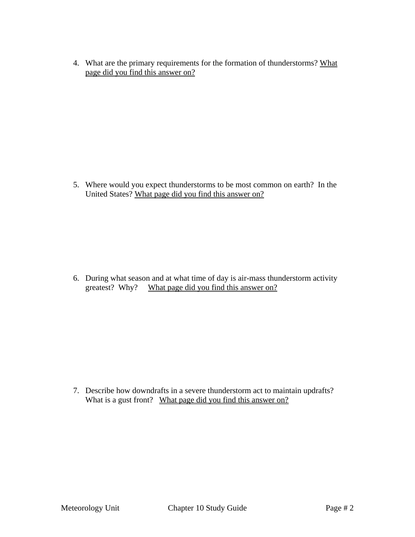4. What are the primary requirements for the formation of thunderstorms? What page did you find this answer on?

5. Where would you expect thunderstorms to be most common on earth? In the United States? What page did you find this answer on?

6. During what season and at what time of day is air-mass thunderstorm activity greatest? Why? What page did you find this answer on?

7. Describe how downdrafts in a severe thunderstorm act to maintain updrafts? What is a gust front? What page did you find this answer on?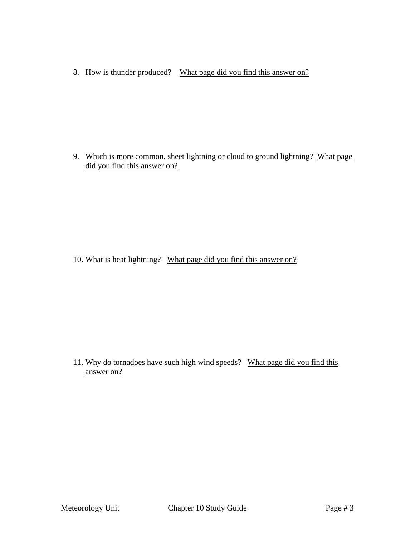8. How is thunder produced? What page did you find this answer on?

9. Which is more common, sheet lightning or cloud to ground lightning? What page did you find this answer on?

10. What is heat lightning? What page did you find this answer on?

11. Why do tornadoes have such high wind speeds? What page did you find this answer on?